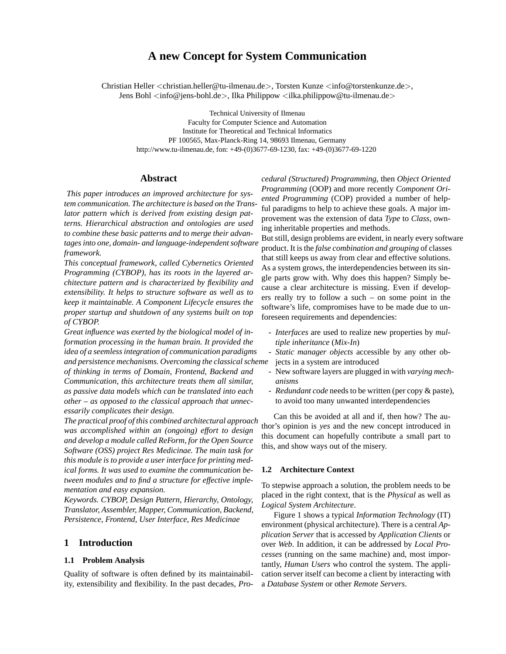# **A new Concept for System Communication**

Christian Heller <christian.heller@tu-ilmenau.de>, Torsten Kunze <info@torstenkunze.de>, Jens Bohl  $\langle$ info@jens-bohl.de $\rangle$ , Ilka Philippow  $\langle$ ilka.philippow@tu-ilmenau.de $\rangle$ 

Technical University of Ilmenau

Faculty for Computer Science and Automation Institute for Theoretical and Technical Informatics PF 100565, Max-Planck-Ring 14, 98693 Ilmenau, Germany http://www.tu-ilmenau.de, fon: +49-(0)3677-69-1230, fax: +49-(0)3677-69-1220

## **Abstract**

*This paper introduces an improved architecture for system communication. The architecture is based on the Translator pattern which is derived from existing design patterns. Hierarchical abstraction and ontologies are used to combine these basic patterns and to merge their advantages into one, domain- and language-independent software framework.*

*This conceptual framework, called Cybernetics Oriented Programming (CYBOP), has its roots in the layered architecture pattern and is characterized by flexibility and extensibility. It helps to structure software as well as to keep it maintainable. A Component Lifecycle ensures the proper startup and shutdown of any systems built on top of CYBOP.*

*Great influence was exerted by the biological model of information processing in the human brain. It provided the idea of a seemless integration of communication paradigms and persistence mechanisms. Overcoming the classical scheme*

*of thinking in terms of Domain, Frontend, Backend and Communication, this architecture treats them all similar, as passive data models which can be translated into each other – as opposed to the classical approach that unnecessarily complicates their design.*

*The practical proof of this combined architectural approach was accomplished within an (ongoing) effort to design and develop a module called ReForm, for the Open Source Software (OSS) project Res Medicinae. The main task for this module is to provide a user interface for printing medical forms. It was used to examine the communication between modules and to find a structure for effective implementation and easy expansion.*

*Keywords. CYBOP, Design Pattern, Hierarchy, Ontology, Translator, Assembler, Mapper, Communication, Backend, Persistence, Frontend, User Interface, Res Medicinae*

## **1 Introduction**

### **1.1 Problem Analysis**

Quality of software is often defined by its maintainability, extensibility and flexibility. In the past decades, *Pro-* *cedural (Structured) Programming*, then *Object Oriented Programming* (OOP) and more recently *Component Oriented Programming* (COP) provided a number of helpful paradigms to help to achieve these goals. A major improvement was the extension of data *Type* to *Class*, owning inheritable properties and methods.

But still, design problems are evident, in nearly every software product. It is the *false combination and grouping* of classes that still keeps us away from clear and effective solutions. As a system grows, the interdependencies between its single parts grow with. Why does this happen? Simply because a clear architecture is missing. Even if developers really try to follow a such – on some point in the software's life, compromises have to be made due to unforeseen requirements and dependencies:

- *Interfaces* are used to realize new properties by *multiple inheritance* (*Mix-In*)
- *Static manager objects* accessible by any other objects in a system are introduced
- New software layers are plugged in with *varying mechanisms*
- *Redundant code* needs to be written (per copy & paste), to avoid too many unwanted interdependencies

Can this be avoided at all and if, then how? The author's opinion is *yes* and the new concept introduced in this document can hopefully contribute a small part to this, and show ways out of the misery.

### **1.2 Architecture Context**

To stepwise approach a solution, the problem needs to be placed in the right context, that is the *Physical* as well as *Logical System Architecture*.

Figure 1 shows a typical *Information Technology* (IT) environment (physical architecture). There is a central *Application Server* that is accessed by *Application Clients* or over *Web*. In addition, it can be addressed by *Local Processes* (running on the same machine) and, most importantly, *Human Users* who control the system. The application server itself can become a client by interacting with a *Database System* or other *Remote Servers*.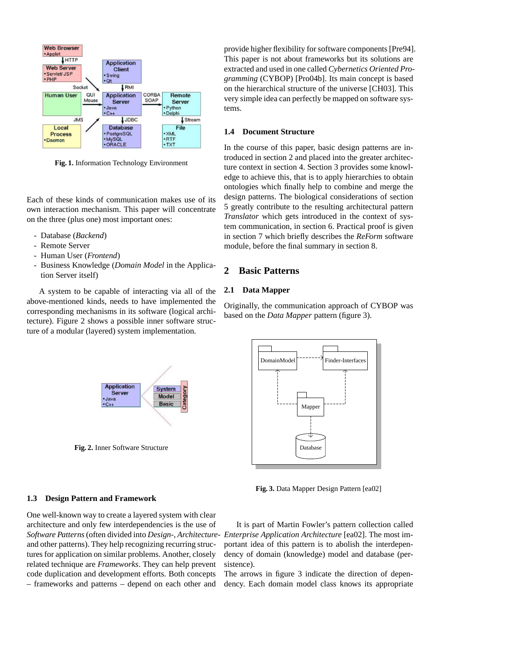

**Fig. 1.** Information Technology Environment

Each of these kinds of communication makes use of its own interaction mechanism. This paper will concentrate on the three (plus one) most important ones:

- Database (*Backend*)
- Remote Server
- Human User (*Frontend*)
- Business Knowledge (*Domain Model* in the Application Server itself)

A system to be capable of interacting via all of the above-mentioned kinds, needs to have implemented the corresponding mechanisms in its software (logical architecture). Figure 2 shows a possible inner software structure of a modular (layered) system implementation.



**Fig. 2.** Inner Software Structure

## **1.3 Design Pattern and Framework**

One well-known way to create a layered system with clear architecture and only few interdependencies is the use of *Software Patterns*(often divided into *Design-*, *Architecture-Enterprise Application Architecture* [ea02]. The most imand other patterns). They help recognizing recurring structures for application on similar problems. Another, closely related technique are *Frameworks*. They can help prevent code duplication and development efforts. Both concepts – frameworks and patterns – depend on each other and

provide higher flexibility for software components [Pre94]. This paper is not about frameworks but its solutions are extracted and used in one called *Cybernetics Oriented Programming* (CYBOP) [Pro04b]. Its main concept is based on the hierarchical structure of the universe [CH03]. This very simple idea can perfectly be mapped on software systems.

### **1.4 Document Structure**

In the course of this paper, basic design patterns are introduced in section 2 and placed into the greater architecture context in section 4. Section 3 provides some knowledge to achieve this, that is to apply hierarchies to obtain ontologies which finally help to combine and merge the design patterns. The biological considerations of section 5 greatly contribute to the resulting architectural pattern *Translator* which gets introduced in the context of system communication, in section 6. Practical proof is given in section 7 which briefly describes the *ReForm* software module, before the final summary in section 8.

# **2 Basic Patterns**

## **2.1 Data Mapper**

Originally, the communication approach of CYBOP was based on the *Data Mapper* pattern (figure 3).



**Fig. 3.** Data Mapper Design Pattern [ea02]

It is part of Martin Fowler's pattern collection called portant idea of this pattern is to abolish the interdependency of domain (knowledge) model and database (persistence).

The arrows in figure 3 indicate the direction of dependency. Each domain model class knows its appropriate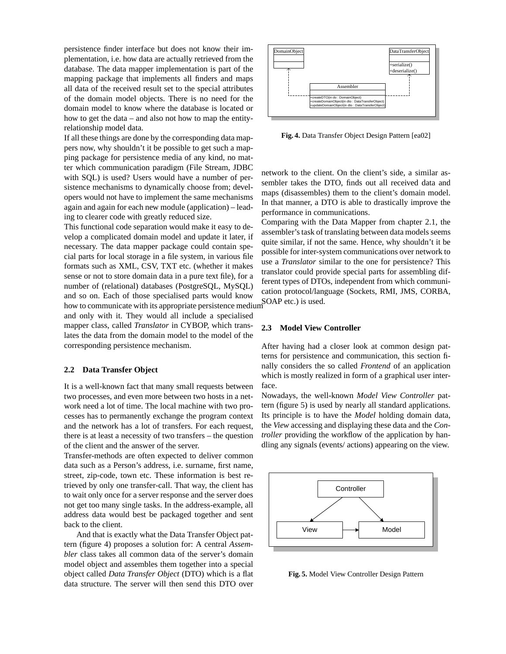persistence finder interface but does not know their implementation, i.e. how data are actually retrieved from the database. The data mapper implementation is part of the mapping package that implements all finders and maps all data of the received result set to the special attributes of the domain model objects. There is no need for the domain model to know where the database is located or how to get the data – and also not how to map the entityrelationship model data.

If all these things are done by the corresponding data mappers now, why shouldn't it be possible to get such a mapping package for persistence media of any kind, no matter which communication paradigm (File Stream, JDBC with SQL) is used? Users would have a number of persistence mechanisms to dynamically choose from; developers would not have to implement the same mechanisms again and again for each new module (application) – leading to clearer code with greatly reduced size.

This functional code separation would make it easy to develop a complicated domain model and update it later, if necessary. The data mapper package could contain special parts for local storage in a file system, in various file formats such as XML, CSV, TXT etc. (whether it makes sense or not to store domain data in a pure text file), for a number of (relational) databases (PostgreSQL, MySQL) and so on. Each of those specialised parts would know how to communicate with its appropriate persistence medium<sup>SOAP</sup> etc.) is used.

and only with it. They would all include a specialised mapper class, called *Translator* in CYBOP, which translates the data from the domain model to the model of the corresponding persistence mechanism.

### **2.2 Data Transfer Object**

It is a well-known fact that many small requests between two processes, and even more between two hosts in a network need a lot of time. The local machine with two processes has to permanently exchange the program context and the network has a lot of transfers. For each request, there is at least a necessity of two transfers – the question of the client and the answer of the server.

Transfer-methods are often expected to deliver common data such as a Person's address, i.e. surname, first name, street, zip-code, town etc. These information is best retrieved by only one transfer-call. That way, the client has to wait only once for a server response and the server does not get too many single tasks. In the address-example, all address data would best be packaged together and sent back to the client.

And that is exactly what the Data Transfer Object pattern (figure 4) proposes a solution for: A central *Assembler* class takes all common data of the server's domain model object and assembles them together into a special object called *Data Transfer Object* (DTO) which is a flat data structure. The server will then send this DTO over



**Fig. 4.** Data Transfer Object Design Pattern [ea02]

network to the client. On the client's side, a similar assembler takes the DTO, finds out all received data and maps (disassembles) them to the client's domain model. In that manner, a DTO is able to drastically improve the performance in communications.

Comparing with the Data Mapper from chapter 2.1, the assembler's task of translating between data models seems quite similar, if not the same. Hence, why shouldn't it be possible for inter-system communications over network to use a *Translator* similar to the one for persistence? This translator could provide special parts for assembling different types of DTOs, independent from which communication protocol/language (Sockets, RMI, JMS, CORBA,

## **2.3 Model View Controller**

After having had a closer look at common design patterns for persistence and communication, this section finally considers the so called *Frontend* of an application which is mostly realized in form of a graphical user interface.

Nowadays, the well-known *Model View Controller* pattern (figure 5) is used by nearly all standard applications. Its principle is to have the *Model* holding domain data, the *View* accessing and displaying these data and the *Controller* providing the workflow of the application by handling any signals (events/ actions) appearing on the view.



**Fig. 5.** Model View Controller Design Pattern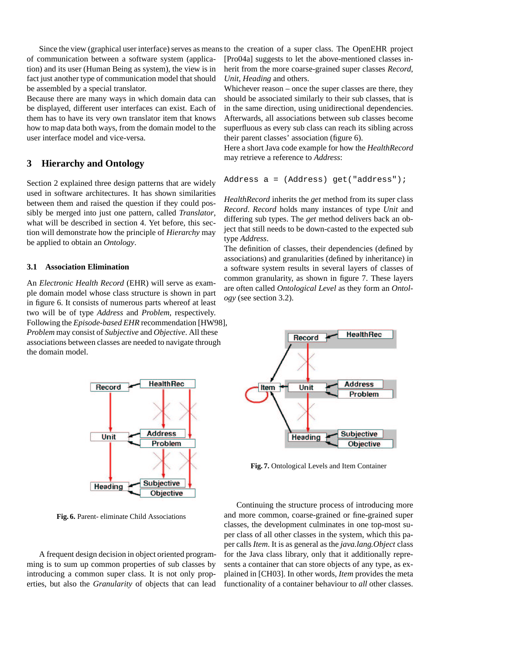of communication between a software system (application) and its user (Human Being as system), the view is in fact just another type of communication model that should be assembled by a special translator.

Because there are many ways in which domain data can be displayed, different user interfaces can exist. Each of them has to have its very own translator item that knows how to map data both ways, from the domain model to the user interface model and vice-versa.

# **3 Hierarchy and Ontology**

Section 2 explained three design patterns that are widely used in software architectures. It has shown similarities between them and raised the question if they could possibly be merged into just one pattern, called *Translator*, what will be described in section 4. Yet before, this section will demonstrate how the principle of *Hierarchy* may be applied to obtain an *Ontology*.

## **3.1 Association Elimination**

An *Electronic Health Record* (EHR) will serve as example domain model whose class structure is shown in part in figure 6. It consists of numerous parts whereof at least two will be of type *Address* and *Problem*, respectively. Following the *Episode-based EHR* recommendation [HW98], *Problem* may consist of *Subjective* and *Objective*. All these associations between classes are needed to navigate through the domain model.



Whichever reason – once the super classes are there, they should be associated similarly to their sub classes, that is in the same direction, using unidirectional dependencies. Afterwards, all associations between sub classes become superfluous as every sub class can reach its sibling across their parent classes' association (figure 6).

Here a short Java code example for how the *HealthRecord* may retrieve a reference to *Address*:

```
Address a = (Address) get("address");
```
*HealthRecord* inherits the *get* method from its super class *Record*. *Record* holds many instances of type *Unit* and differing sub types. The *get* method delivers back an object that still needs to be down-casted to the expected sub type *Address*.

The definition of classes, their dependencies (defined by associations) and granularities (defined by inheritance) in a software system results in several layers of classes of common granularity, as shown in figure 7. These layers are often called *Ontological Level* as they form an *Ontology* (see section 3.2).



**Fig. 6.** Parent- eliminate Child Associations

A frequent design decision in object oriented programming is to sum up common properties of sub classes by introducing a common super class. It is not only properties, but also the *Granularity* of objects that can lead



**Fig. 7.** Ontological Levels and Item Container

Continuing the structure process of introducing more and more common, coarse-grained or fine-grained super classes, the development culminates in one top-most super class of all other classes in the system, which this paper calls *Item*. It is as general as the *java.lang.Object* class for the Java class library, only that it additionally represents a container that can store objects of any type, as explained in [CH03]. In other words, *Item* provides the meta functionality of a container behaviour to *all* other classes.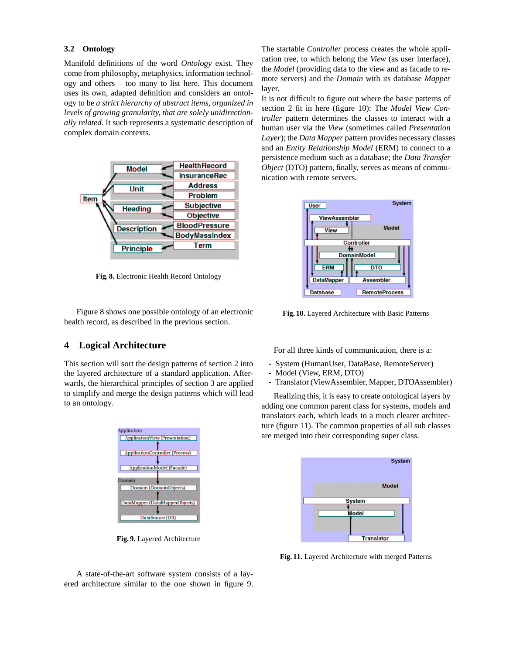### **3.2 Ontology**

Manifold definitions of the word *Ontology* exist. They come from philosophy, metaphysics, information technology and others – too many to list here. This document uses its own, adapted definition and considers an ontology to be *a strict hierarchy of abstract items, organized in levels of growing granularity, that are solely unidirectionally related*. It such represents a systematic description of complex domain contexts.



**Fig. 8.** Electronic Health Record Ontology

Figure 8 shows one possible ontology of an electronic health record, as described in the previous section.

# **4 Logical Architecture**

This section will sort the design patterns of section 2 into the layered architecture of a standard application. Afterwards, the hierarchical principles of section 3 are applied to simplify and merge the design patterns which will lead to an ontology.



**Fig. 9.** Layered Architecture

The startable *Controller* process creates the whole application tree, to which belong the *View* (as user interface), the *Model* (providing data to the view and as facade to remote servers) and the *Domain* with its database *Mapper* layer.

It is not difficult to figure out where the basic patterns of section 2 fit in here (figure 10): The *Model View Controller* pattern determines the classes to interact with a human user via the *View* (sometimes called *Presentation Layer*); the *Data Mapper* pattern provides necessary classes and an *Entity Relationship Model* (ERM) to connect to a persistence medium such as a database; the *Data Transfer Object* (DTO) pattern, finally, serves as means of communication with remote servers.



**Fig. 10.** Layered Architecture with Basic Patterns

For all three kinds of communication, there is a:

- System (HumanUser, DataBase, RemoteServer)
- Model (View, ERM, DTO)
- Translator (ViewAssembler, Mapper, DTOAssembler)

Realizing this, it is easy to create ontological layers by adding one common parent class for systems, models and translators each, which leads to a much clearer architecture (figure 11). The common properties of all sub classes are merged into their corresponding super class.



**Fig. 11.** Layered Architecture with merged Patterns

A state-of-the-art software system consists of a layered architecture similar to the one shown in figure 9.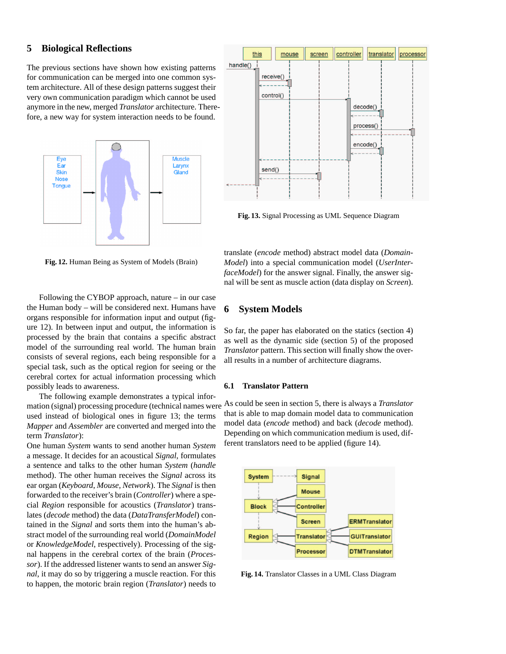# **5 Biological Reflections**

The previous sections have shown how existing patterns for communication can be merged into one common system architecture. All of these design patterns suggest their very own communication paradigm which cannot be used anymore in the new, merged *Translator* architecture. Therefore, a new way for system interaction needs to be found.



**Fig. 12.** Human Being as System of Models (Brain)

Following the CYBOP approach, nature – in our case the Human body – will be considered next. Humans have organs responsible for information input and output (figure 12). In between input and output, the information is processed by the brain that contains a specific abstract model of the surrounding real world. The human brain consists of several regions, each being responsible for a special task, such as the optical region for seeing or the cerebral cortex for actual information processing which possibly leads to awareness.

The following example demonstrates a typical information (signal) processing procedure (technical names were used instead of biological ones in figure 13; the terms *Mapper* and *Assembler* are converted and merged into the term *Translator*):

One human *System* wants to send another human *System* a message. It decides for an acoustical *Signal*, formulates a sentence and talks to the other human *System* (*handle* method). The other human receives the *Signal* across its ear organ (*Keyboard*, *Mouse*, *Network*). The *Signal* is then forwarded to the receiver's brain (*Controller*) where a special *Region* responsible for acoustics (*Translator*) translates (*decode* method) the data (*DataTransferModel*) contained in the *Signal* and sorts them into the human's abstract model of the surrounding real world (*DomainModel* or *KnowledgeModel*, respectively). Processing of the signal happens in the cerebral cortex of the brain (*Processor*). If the addressed listener wants to send an answer *Signal*, it may do so by triggering a muscle reaction. For this to happen, the motoric brain region (*Translator*) needs to



**Fig. 13.** Signal Processing as UML Sequence Diagram

translate (*encode* method) abstract model data (*Domain-Model*) into a special communication model (*UserInterfaceModel*) for the answer signal. Finally, the answer signal will be sent as muscle action (data display on *Screen*).

# **6 System Models**

So far, the paper has elaborated on the statics (section 4) as well as the dynamic side (section 5) of the proposed *Translator* pattern. This section will finally show the overall results in a number of architecture diagrams.

### **6.1 Translator Pattern**

As could be seen in section 5, there is always a *Translator* that is able to map domain model data to communication model data (*encode* method) and back (*decode* method). Depending on which communication medium is used, different translators need to be applied (figure 14).



**Fig. 14.** Translator Classes in a UML Class Diagram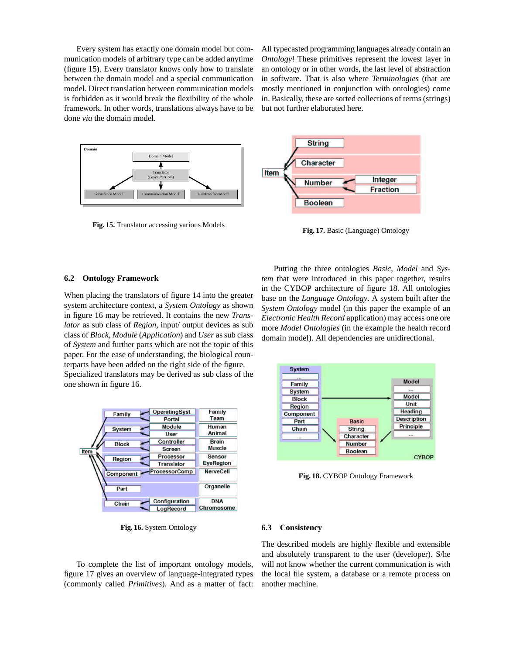Every system has exactly one domain model but communication models of arbitrary type can be added anytime (figure 15). Every translator knows only how to translate between the domain model and a special communication model. Direct translation between communication models is forbidden as it would break the flexibility of the whole framework. In other words, translations always have to be done *via* the domain model.

All typecasted programming languages already contain an *Ontology*! These primitives represent the lowest layer in an ontology or in other words, the last level of abstraction in software. That is also where *Terminologies* (that are mostly mentioned in conjunction with ontologies) come in. Basically, these are sorted collections of terms (strings) but not further elaborated here.



**Fig. 17.** Basic (Language) Ontology

#### **6.2 Ontology Framework**

When placing the translators of figure 14 into the greater system architecture context, a *System Ontology* as shown in figure 16 may be retrieved. It contains the new *Translator* as sub class of *Region*, input/ output devices as sub class of *Block*, *Module* (*Application*) and *User* as sub class of *System* and further parts which are not the topic of this paper. For the ease of understanding, the biological counterparts have been added on the right side of the figure. Specialized translators may be derived as sub class of the one shown in figure 16.

**Fig. 15.** Translator accessing various Models



**Fig. 16.** System Ontology

To complete the list of important ontology models, figure 17 gives an overview of language-integrated types (commonly called *Primitives*). And as a matter of fact:

Putting the three ontologies *Basic*, *Model* and *System* that were introduced in this paper together, results in the CYBOP architecture of figure 18. All ontologies base on the *Language Ontology*. A system built after the *System Ontology* model (in this paper the example of an *Electronic Health Record* application) may access one ore more *Model Ontologies* (in the example the health record domain model). All dependencies are unidirectional.



**Fig. 18.** CYBOP Ontology Framework

### **6.3 Consistency**

The described models are highly flexible and extensible and absolutely transparent to the user (developer). S/he will not know whether the current communication is with the local file system, a database or a remote process on another machine.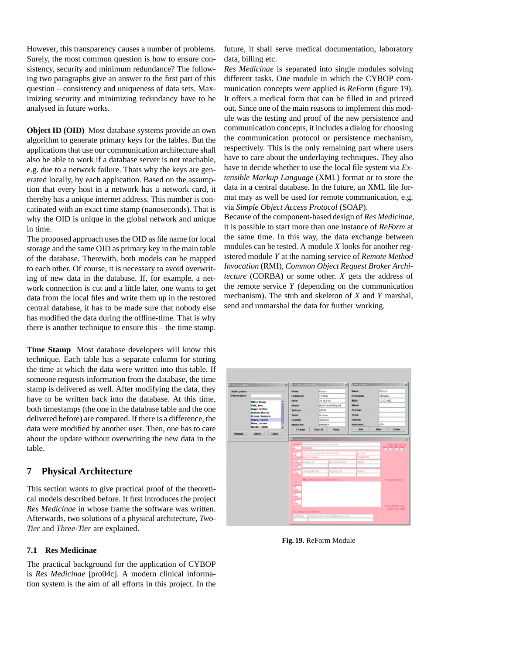However, this transparency causes a number of problems. Surely, the most common question is how to ensure consistency, security and minimum redundance? The following two paragraphs give an answer to the first part of this question – consistency and uniqueness of data sets. Maximizing security and minimizing redundancy have to be analysed in future works.

**Object ID (OID)** Most database systems provide an own algorithm to generate primary keys for the tables. But the applications that use our communication architecture shall also be able to work if a database server is not reachable, e.g. due to a network failure. Thats why the keys are generated locally, by each application. Based on the assumption that every host in a network has a network card, it thereby has a unique internet address. This number is concatinated with an exact time stamp (nanoseconds). That is why the OID is unique in the global network and unique in time.

The proposed approach uses the OID as file name for local storage and the same OID as primary key in the main table of the database. Therewith, both models can be mapped to each other. Of course, it is necessary to avoid overwriting of new data in the database. If, for example, a network connection is cut and a little later, one wants to get data from the local files and write them up in the restored central database, it has to be made sure that nobody else has modified the data during the offline-time. That is why there is another technique to ensure this – the time stamp.

**Time Stamp** Most database developers will know this technique. Each table has a separate column for storing the time at which the data were written into this table. If someone requests information from the database, the time stamp is delivered as well. After modifying the data, they have to be written back into the database. At this time, both timestamps (the one in the database table and the one delivered before) are compared. If there is a difference, the data were modified by another user. Then, one has to care about the update without overwriting the new data in the table.

# **7 Physical Architecture**

This section wants to give practical proof of the theoretical models described before. It first introduces the project *Res Medicinae* in whose frame the software was written. Afterwards, two solutions of a physical architecture, *Two-Tier* and *Three-Tier* are explained.

## **7.1 Res Medicinae**

The practical background for the application of CYBOP is *Res Medicinae* [pro04c]. A modern clinical information system is the aim of all efforts in this project. In the

future, it shall serve medical documentation, laboratory data, billing etc.

*Res Medicinae* is separated into single modules solving different tasks. One module in which the CYBOP communication concepts were applied is *ReForm* (figure 19). It offers a medical form that can be filled in and printed out. Since one of the main reasons to implement this module was the testing and proof of the new persistence and communication concepts, it includes a dialog for choosing the communication protocol or persistence mechanism, respectively. This is the only remaining part where users have to care about the underlaying techniques. They also have to decide whether to use the local file system via *Extensible Markup Language* (XML) format or to store the data in a central database. In the future, an XML file format may as well be used for remote communication, e.g. via *Simple Object Access Protocol* (SOAP).

Because of the component-based design of *Res Medicinae*, it is possible to start more than one instance of *ReForm* at the same time. In this way, the data exchange between modules can be tested. A module *X* looks for another registered module *Y* at the naming service of *Remote Method Invocation* (RMI), *Common Object Request Broker Architecture* (CORBA) or some other. *X* gets the address of the remote service *Y* (depending on the communication mechanism). The stub and skeleton of *X* and *Y* marshal, send and unmarshal the data for further working.



**Fig. 19.** ReForm Module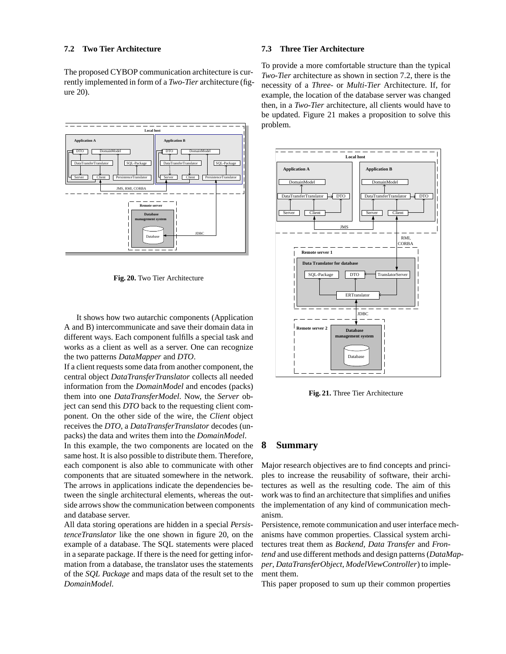## **7.2 Two Tier Architecture**

The proposed CYBOP communication architecture is currently implemented in form of a *Two-Tier* architecture (figure 20).



**Fig. 20.** Two Tier Architecture

It shows how two autarchic components (Application A and B) intercommunicate and save their domain data in different ways. Each component fulfills a special task and works as a client as well as a server. One can recognize the two patterns *DataMapper* and *DTO*.

If a client requests some data from another component, the central object *DataTransferTranslator* collects all needed information from the *DomainModel* and encodes (packs) them into one *DataTransferModel*. Now, the *Server* object can send this *DTO* back to the requesting client component. On the other side of the wire, the *Client* object receives the *DTO*, a *DataTransferTranslator* decodes (unpacks) the data and writes them into the *DomainModel*.

In this example, the two components are located on the same host. It is also possible to distribute them. Therefore, each component is also able to communicate with other components that are situated somewhere in the network. The arrows in applications indicate the dependencies between the single architectural elements, whereas the outside arrows show the communication between components and database server.

All data storing operations are hidden in a special *PersistenceTranslator* like the one shown in figure 20, on the example of a database. The SQL statements were placed in a separate package. If there is the need for getting information from a database, the translator uses the statements of the *SQL Package* and maps data of the result set to the *DomainModel*.

### **7.3 Three Tier Architecture**

To provide a more comfortable structure than the typical *Two-Tier* architecture as shown in section 7.2, there is the necessity of a *Three-* or *Multi-Tier* Architecture. If, for example, the location of the database server was changed then, in a *Two-Tier* architecture, all clients would have to be updated. Figure 21 makes a proposition to solve this problem.



**Fig. 21.** Three Tier Architecture

## **8 Summary**

Major research objectives are to find concepts and principles to increase the reusability of software, their architectures as well as the resulting code. The aim of this work was to find an architecture that simplifies and unifies the implementation of any kind of communication mechanism.

Persistence, remote communication and user interface mechanisms have common properties. Classical system architectures treat them as *Backend*, *Data Transfer* and *Frontend* and use different methods and design patterns (*DataMapper*, *DataTransferObject*, *ModelViewController*) to implement them.

This paper proposed to sum up their common properties